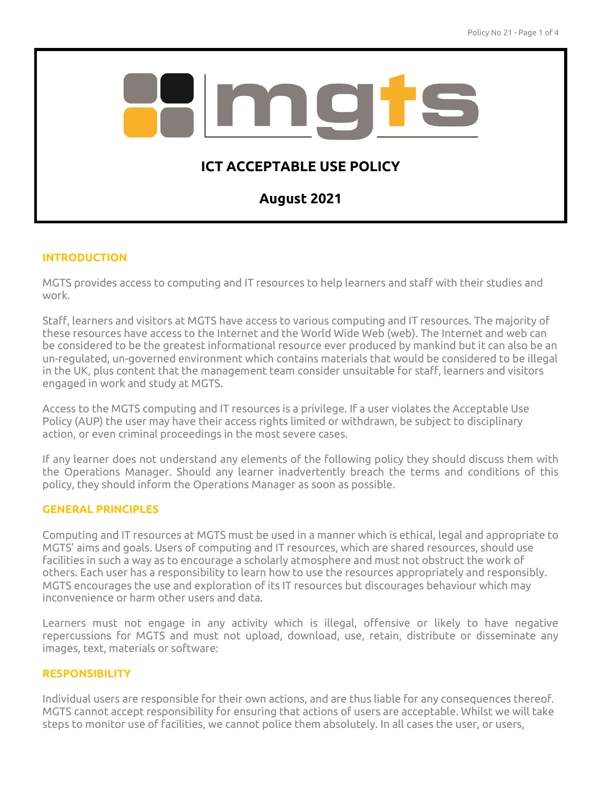

### **INTRODUCTION**

MGTS provides access to computing and IT resources to help learners and staff with their studies and work.

Staff, learners and visitors at MGTS have access to various computing and IT resources. The majority of these resources have access to the Internet and the World Wide Web (web). The Internet and web can be considered to be the greatest informational resource ever produced by mankind but it can also be an un-regulated, un-governed environment which contains materials that would be considered to be illegal in the UK, plus content that the management team consider unsuitable for staff, learners and visitors engaged in work and study at MGTS.

Access to the MGTS computing and IT resources is a privilege. If a user violates the Acceptable Use Policy (AUP) the user may have their access rights limited or withdrawn, be subject to disciplinary action, or even criminal proceedings in the most severe cases.

If any learner does not understand any elements of the following policy they should discuss them with the Operations Manager. Should any learner inadvertently breach the terms and conditions of this policy, they should inform the Operations Manager as soon as possible.

# **GENERAL PRINCIPLES**

Computing and IT resources at MGTS must be used in a manner which is ethical, legal and appropriate to MGTS' aims and goals. Users of computing and IT resources, which are shared resources, should use facilities in such a way as to encourage a scholarly atmosphere and must not obstruct the work of others. Each user has a responsibility to learn how to use the resources appropriately and responsibly. MGTS encourages the use and exploration of its IT resources but discourages behaviour which may inconvenience or harm other users and data.

Learners must not engage in any activity which is illegal, offensive or likely to have negative repercussions for MGTS and must not upload, download, use, retain, distribute or disseminate any images, text, materials or software:

#### **RESPONSIBILITY**

Individual users are responsible for their own actions, and are thus liable for any consequences thereof. MGTS cannot accept responsibility for ensuring that actions of users are acceptable. Whilst we will take steps to monitor use of facilities, we cannot police them absolutely. In all cases the user, or users,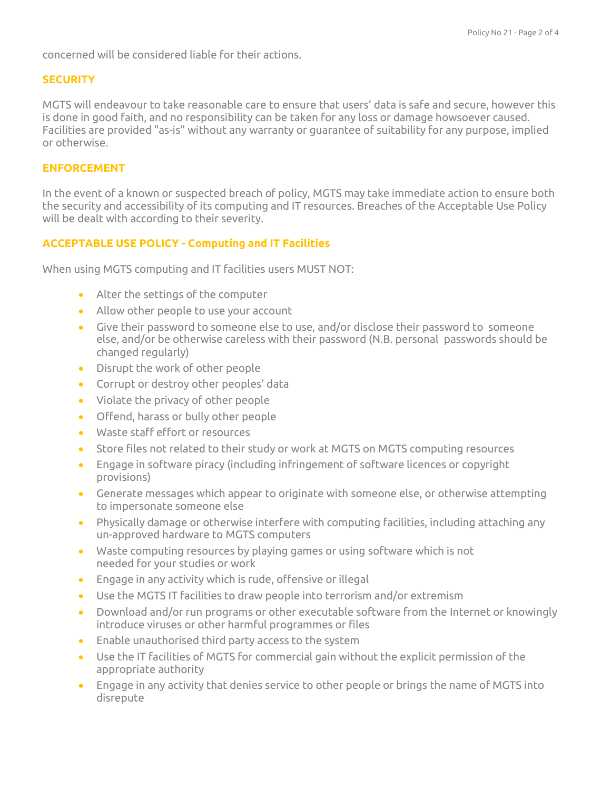concerned will be considered liable for their actions.

### **SECURITY**

MGTS will endeavour to take reasonable care to ensure that users' data is safe and secure, however this is done in good faith, and no responsibility can be taken for any loss or damage howsoever caused. Facilities are provided "as-is" without any warranty or guarantee of suitability for any purpose, implied or otherwise.

## **ENFORCEMENT**

In the event of a known or suspected breach of policy, MGTS may take immediate action to ensure both the security and accessibility of its computing and IT resources. Breaches of the Acceptable Use Policy will be dealt with according to their severity.

# **ACCEPTABLE USE POLICY - Computing and IT Facilities**

When using MGTS computing and IT facilities users MUST NOT:

- Alter the settings of the computer
- Allow other people to use your account
- Give their password to someone else to use, and/or disclose their password to someone else, and/or be otherwise careless with their password (N.B. personal passwords should be changed regularly)
- Disrupt the work of other people
- Corrupt or destroy other peoples' data
- Violate the privacy of other people
- Offend, harass or bully other people
- Waste staff effort or resources
- Store files not related to their study or work at MGTS on MGTS computing resources
- Engage in software piracy (including infringement of software licences or copyright provisions)
- Generate messages which appear to originate with someone else, or otherwise attempting to impersonate someone else
- Physically damage or otherwise interfere with computing facilities, including attaching any un-approved hardware to MGTS computers
- Waste computing resources by playing games or using software which is not needed for your studies or work
- Engage in any activity which is rude, offensive or illegal
- Use the MGTS IT facilities to draw people into terrorism and/or extremism
- Download and/or run programs or other executable software from the Internet or knowingly introduce viruses or other harmful programmes or files
- Enable unauthorised third party access to the system
- Use the IT facilities of MGTS for commercial gain without the explicit permission of the appropriate authority
- Engage in any activity that denies service to other people or brings the name of MGTS into disrepute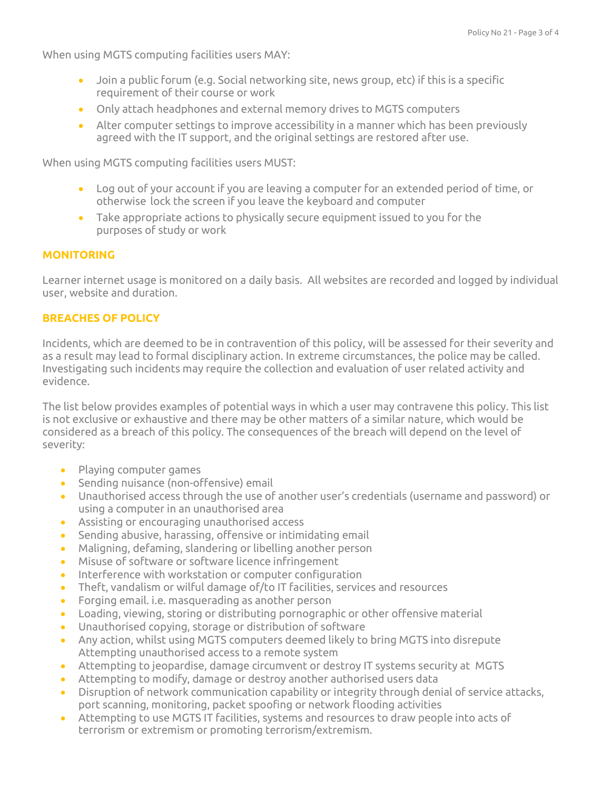When using MGTS computing facilities users MAY:

- Join a public forum (e.g. Social networking site, news group, etc) if this is a specific requirement of their course or work
- Only attach headphones and external memory drives to MGTS computers
- Alter computer settings to improve accessibility in a manner which has been previously agreed with the IT support, and the original settings are restored after use.

When using MGTS computing facilities users MUST:

- Log out of your account if you are leaving a computer for an extended period of time, or otherwise lock the screen if you leave the keyboard and computer
- Take appropriate actions to physically secure equipment issued to you for the purposes of study or work

#### **MONITORING**

Learner internet usage is monitored on a daily basis. All websites are recorded and logged by individual user, website and duration.

#### **BREACHES OF POLICY**

Incidents, which are deemed to be in contravention of this policy, will be assessed for their severity and as a result may lead to formal disciplinary action. In extreme circumstances, the police may be called. Investigating such incidents may require the collection and evaluation of user related activity and evidence.

The list below provides examples of potential ways in which a user may contravene this policy. This list is not exclusive or exhaustive and there may be other matters of a similar nature, which would be considered as a breach of this policy. The consequences of the breach will depend on the level of severity:

- Playing computer games
- Sending nuisance (non-offensive) email
- Unauthorised access through the use of another user's credentials (username and password) or using a computer in an unauthorised area
- Assisting or encouraging unauthorised access
- Sending abusive, harassing, offensive or intimidating email
- Maligning, defaming, slandering or libelling another person
- Misuse of software or software licence infringement
- Interference with workstation or computer configuration
- Theft, vandalism or wilful damage of/to IT facilities, services and resources
- Forging email. i.e. masquerading as another person
- Loading, viewing, storing or distributing pornographic or other offensive material
- Unauthorised copying, storage or distribution of software
- Any action, whilst using MGTS computers deemed likely to bring MGTS into disrepute Attempting unauthorised access to a remote system
- Attempting to jeopardise, damage circumvent or destroy IT systems security at MGTS
- Attempting to modify, damage or destroy another authorised users data
- Disruption of network communication capability or integrity through denial of service attacks, port scanning, monitoring, packet spoofing or network flooding activities
- Attempting to use MGTS IT facilities, systems and resources to draw people into acts of terrorism or extremism or promoting terrorism/extremism.